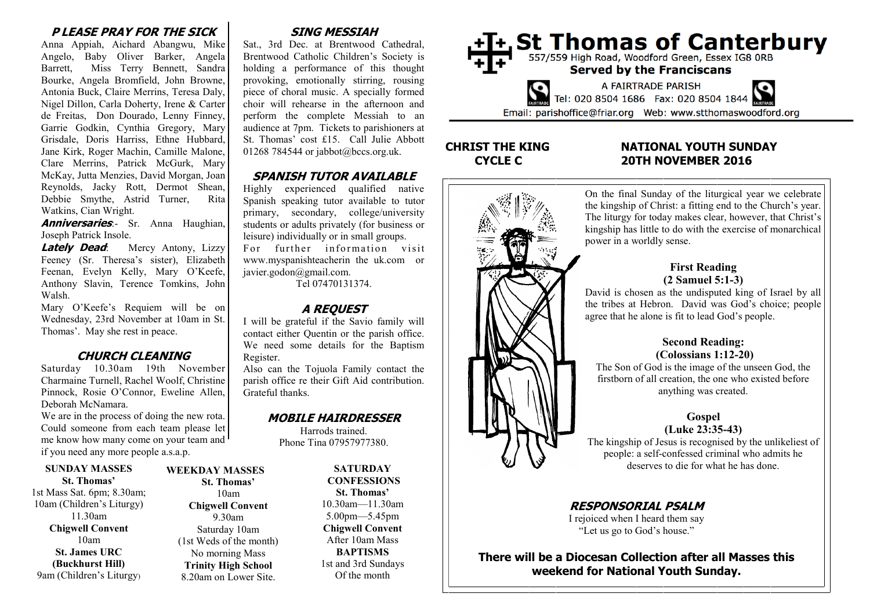#### **P LEASE PRAY FOR THE SICK**

Anna Appiah, Aichard Abangwu, Mike Angelo, Baby Oliver Barker, Angela Barrett, Miss Terry Bennett, Sandra Bourke, Angela Bromfield, John Browne, Antonia Buck, Claire Merrins, Teresa Daly, Nigel Dillon, Carla Doherty, Irene & Carter de Freitas, Don Dourado, Lenny Finney, Garrie Godkin, Cynthia Gregory, Mary Grisdale, Doris Harriss, Ethne Hubbard, Jane Kirk, Roger Machin, Camille Malone, Clare Merrins, Patrick McGurk, Mary McKay, Jutta Menzies, David Morgan, Joan Reynolds, Jacky Rott, Dermot Shean, Debbie Smythe, Astrid Turner, Rita Watkins, Cian Wright.

**Anniversaries**:- Sr. Anna Haughian, Joseph Patrick Insole.

**Lately Dead:** Mercy Antony, Lizzy Feeney (Sr. Theresa's sister), Elizabeth Feenan, Evelyn Kelly, Mary O'Keefe, Anthony Slavin, Terence Tomkins, John Walsh.

Mary O'Keefe's Requiem will be on Wednesday, 23rd November at 10am in St. Thomas'. May she rest in peace.

#### **CHURCH CLEANING**

Saturday 10.30am 19th November Charmaine Turnell, Rachel Woolf, Christine Pinnock, Rosie O'Connor, Eweline Allen, Deborah McNamara.

We are in the process of doing the new rota. Could someone from each team please let me know how many come on your team and if you need any more people a.s.a.p.

#### **SUNDAY MASSES St. Thomas'**

1st Mass Sat. 6pm; 8.30am; 10am (Children's Liturgy) 11.30am **Chigwell Convent** 10am **St. James URC (Buckhurst Hill)** 9am (Children's Liturgy)

#### **WEEKDAY MASSES St. Thomas'**

10am **Chigwell Convent** 9.30am Saturday 10am (1st Weds of the month) No morning Mass **Trinity High School** 8.20am on Lower Site.

## **SING MESSIAH**

Sat., 3rd Dec. at Brentwood Cathedral, Brentwood Catholic Children's Society is holding a performance of this thought provoking, emotionally stirring, rousing piece of choral music. A specially formed choir will rehearse in the afternoon and perform the complete Messiah to an audience at 7pm. Tickets to parishioners at St. Thomas' cost £15. Call Julie Abbott 01268 784544 or jabbot@bccs.org.uk.

#### **SPANISH TUTOR AVAILABLE**

Highly experienced qualified native Spanish speaking tutor available to tutor primary, secondary, college/university students or adults privately (for business or leisure) individually or in small groups. For further information visit www.myspanishteacherin the uk.com or javier.godon@gmail.com.

Tel 07470131374.

## **A REQUEST**

I will be grateful if the Savio family will contact either Quentin or the parish office. We need some details for the Baptism Register.

Also can the Tojuola Family contact the parish office re their Gift Aid contribution. Grateful thanks.

#### **MOBILE HAIRDRESSER**

Harrods trained. Phone Tina 07957977380.

> **SATURDAY CONFESSIONS St. Thomas'** 10.30am—11.30am 5.00pm—5.45pm **Chigwell Convent** After 10am Mass **BAPTISMS** 1st and 3rd Sundays Of the month



## **CHRIST THE KING NATIONAL YOUTH SUNDAY CYCLE C 20TH NOVEMBER 2016**



On the final Sunday of the liturgical year we celebrate the kingship of Christ: a fitting end to the Church's year. The liturgy for today makes clear, however, that Christ's kingship has little to do with the exercise of monarchical power in a worldly sense.

#### **First Reading (2 Samuel 5:1-3)**

David is chosen as the undisputed king of Israel by all the tribes at Hebron. David was God's choice; people agree that he alone is fit to lead God's people.

#### **Second Reading: (Colossians 1:12-20)**

The Son of God is the image of the unseen God, the firstborn of all creation, the one who existed before anything was created.

# **Gospel**

#### **(Luke 23:35-43)**

The kingship of Jesus is recognised by the unlikeliest of people: a self-confessed criminal who admits he deserves to die for what he has done.

**RESPONSORIAL PSALM** I rejoiced when I heard them say "Let us go to God's house."

**There will be a Diocesan Collection after all Masses this weekend for National Youth Sunday.**